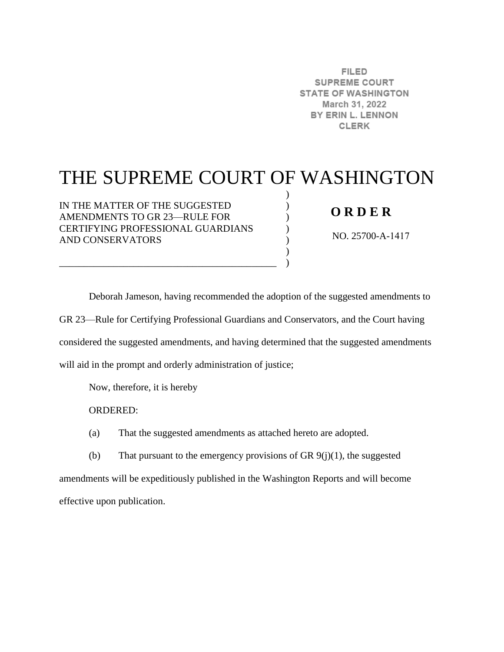**FILED SUPREME COURT STATE OF WASHINGTON** March 31, 2022 BY ERIN L. LENNON **CLERK** 

## THE SUPREME COURT OF WASHINGTON

) ) ) ) ) )  $\lambda$ 

IN THE MATTER OF THE SUGGESTED AMENDMENTS TO GR 23—RULE FOR CERTIFYING PROFESSIONAL GUARDIANS AND CONSERVATORS

\_\_\_\_\_\_\_\_\_\_\_\_\_\_\_\_\_\_\_\_\_\_\_\_\_\_\_\_\_\_\_\_\_\_\_\_\_\_\_\_\_\_\_\_

## **O R D E R**

NO. 25700-A-1417

Deborah Jameson, having recommended the adoption of the suggested amendments to GR 23—Rule for Certifying Professional Guardians and Conservators, and the Court having considered the suggested amendments, and having determined that the suggested amendments will aid in the prompt and orderly administration of justice;

Now, therefore, it is hereby

ORDERED:

(a) That the suggested amendments as attached hereto are adopted.

(b) That pursuant to the emergency provisions of GR  $9(j)(1)$ , the suggested amendments will be expeditiously published in the Washington Reports and will become effective upon publication.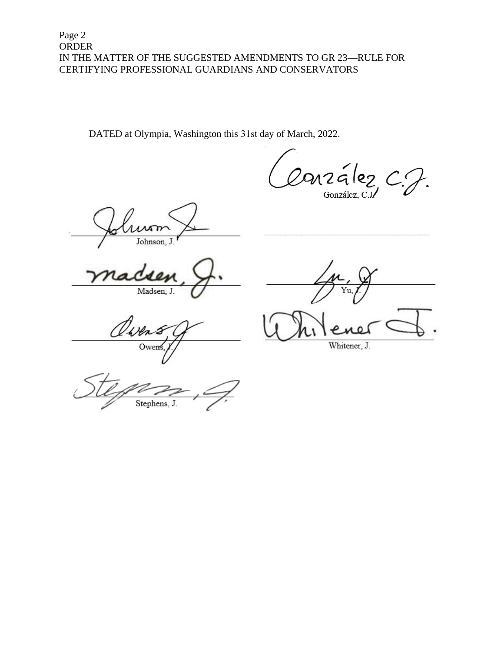DATED at Olympia, Washington this 31st day of March, 2022.

.<br>અ2લં González,

Johnson, J

Madsen, J.

Ower

Whitener, J.

Stephens, J.